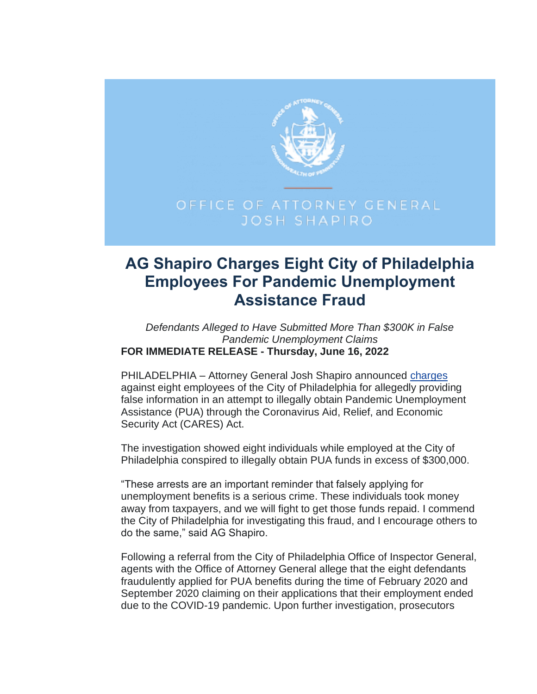

## **AG Shapiro Charges Eight City of Philadelphia Employees For Pandemic Unemployment Assistance Fraud**

*Defendants Alleged to Have Submitted More Than \$300K in False Pandemic Unemployment Claims* **FOR IMMEDIATE RELEASE - Thursday, June 16, 2022**

PHILADELPHIA - Attorney General Josh Shapiro announced [charges](https://www.attorneygeneral.gov/wp-content/uploads/2022/06/2022-06-16-PHL-PUA-arrests.pdf) against eight employees of the City of Philadelphia for allegedly providing false information in an attempt to illegally obtain Pandemic Unemployment Assistance (PUA) through the Coronavirus Aid, Relief, and Economic Security Act (CARES) Act.

The investigation showed eight individuals while employed at the City of Philadelphia conspired to illegally obtain PUA funds in excess of \$300,000.

"These arrests are an important reminder that falsely applying for unemployment benefits is a serious crime. These individuals took money away from taxpayers, and we will fight to get those funds repaid. I commend the City of Philadelphia for investigating this fraud, and I encourage others to do the same," said AG Shapiro.

Following a referral from the City of Philadelphia Office of Inspector General, agents with the Office of Attorney General allege that the eight defendants fraudulently applied for PUA benefits during the time of February 2020 and September 2020 claiming on their applications that their employment ended due to the COVID-19 pandemic. Upon further investigation, prosecutors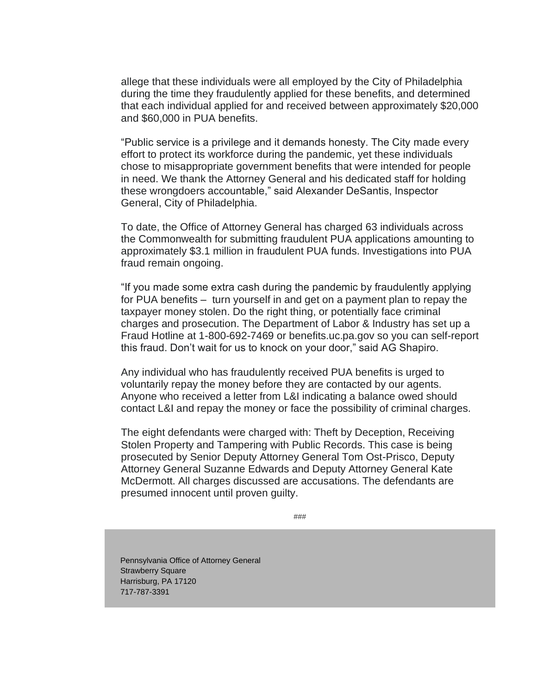allege that these individuals were all employed by the City of Philadelphia during the time they fraudulently applied for these benefits, and determined that each individual applied for and received between approximately \$20,000 and \$60,000 in PUA benefits.

"Public service is a privilege and it demands honesty. The City made every effort to protect its workforce during the pandemic, yet these individuals chose to misappropriate government benefits that were intended for people in need. We thank the Attorney General and his dedicated staff for holding these wrongdoers accountable," said Alexander DeSantis, Inspector General, City of Philadelphia.

To date, the Office of Attorney General has charged 63 individuals across the Commonwealth for submitting fraudulent PUA applications amounting to approximately \$3.1 million in fraudulent PUA funds. Investigations into PUA fraud remain ongoing.

"If you made some extra cash during the pandemic by fraudulently applying for PUA benefits – turn yourself in and get on a payment plan to repay the taxpayer money stolen. Do the right thing, or potentially face criminal charges and prosecution. The Department of Labor & Industry has set up a Fraud Hotline at 1-800-692-7469 or benefits.uc.pa.gov so you can self-report this fraud. Don't wait for us to knock on your door," said AG Shapiro.

Any individual who has fraudulently received PUA benefits is urged to voluntarily repay the money before they are contacted by our agents. Anyone who received a letter from L&I indicating a balance owed should contact L&I and repay the money or face the possibility of criminal charges.

The eight defendants were charged with: Theft by Deception, Receiving Stolen Property and Tampering with Public Records. This case is being prosecuted by Senior Deputy Attorney General Tom Ost-Prisco, Deputy Attorney General Suzanne Edwards and Deputy Attorney General Kate McDermott. All charges discussed are accusations. The defendants are presumed innocent until proven guilty.

###

Pennsylvania Office of Attorney General Strawberry Square Harrisburg, PA 17120 717-787-3391